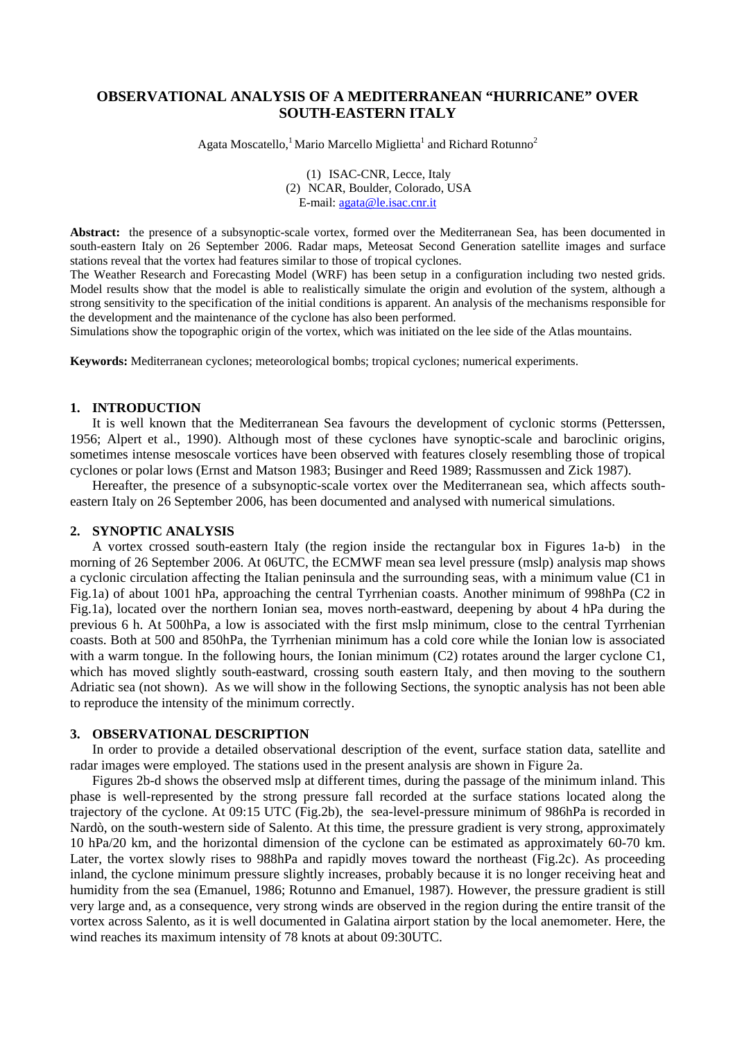# **OBSERVATIONAL ANALYSIS OF A MEDITERRANEAN "HURRICANE" OVER SOUTH-EASTERN ITALY**

Agata Moscatello,<sup>1</sup> Mario Marcello Miglietta<sup>1</sup> and Richard Rotunno<sup>2</sup>

(1) ISAC-CNR, Lecce, Italy (2) NCAR, Boulder, Colorado, USA E-mail: [agata@le.isac.cnr.it](mailto:agata@le.isac.cnr.it)

**Abstract:** the presence of a subsynoptic-scale vortex, formed over the Mediterranean Sea, has been documented in south-eastern Italy on 26 September 2006. Radar maps, Meteosat Second Generation satellite images and surface stations reveal that the vortex had features similar to those of tropical cyclones.

The Weather Research and Forecasting Model (WRF) has been setup in a configuration including two nested grids. Model results show that the model is able to realistically simulate the origin and evolution of the system, although a strong sensitivity to the specification of the initial conditions is apparent. An analysis of the mechanisms responsible for the development and the maintenance of the cyclone has also been performed.

Simulations show the topographic origin of the vortex, which was initiated on the lee side of the Atlas mountains.

**Keywords:** Mediterranean cyclones; meteorological bombs; tropical cyclones; numerical experiments.

# **1. INTRODUCTION**

It is well known that the Mediterranean Sea favours the development of cyclonic storms (Petterssen, 1956; Alpert et al., 1990). Although most of these cyclones have synoptic-scale and baroclinic origins, sometimes intense mesoscale vortices have been observed with features closely resembling those of tropical cyclones or polar lows (Ernst and Matson 1983; Businger and Reed 1989; Rassmussen and Zick 1987).

Hereafter, the presence of a subsynoptic-scale vortex over the Mediterranean sea, which affects southeastern Italy on 26 September 2006, has been documented and analysed with numerical simulations.

# **2. SYNOPTIC ANALYSIS**

A vortex crossed south-eastern Italy (the region inside the rectangular box in Figures 1a-b) in the morning of 26 September 2006. At 06UTC, the ECMWF mean sea level pressure (mslp) analysis map shows a cyclonic circulation affecting the Italian peninsula and the surrounding seas, with a minimum value (C1 in Fig.1a) of about 1001 hPa, approaching the central Tyrrhenian coasts. Another minimum of 998hPa (C2 in Fig.1a), located over the northern Ionian sea, moves north-eastward, deepening by about 4 hPa during the previous 6 h. At 500hPa, a low is associated with the first mslp minimum, close to the central Tyrrhenian coasts. Both at 500 and 850hPa, the Tyrrhenian minimum has a cold core while the Ionian low is associated with a warm tongue. In the following hours, the Ionian minimum  $(C2)$  rotates around the larger cyclone C1, which has moved slightly south-eastward, crossing south eastern Italy, and then moving to the southern Adriatic sea (not shown). As we will show in the following Sections, the synoptic analysis has not been able to reproduce the intensity of the minimum correctly.

### **3. OBSERVATIONAL DESCRIPTION**

In order to provide a detailed observational description of the event, surface station data, satellite and radar images were employed. The stations used in the present analysis are shown in Figure 2a.

Figures 2b-d shows the observed mslp at different times, during the passage of the minimum inland. This phase is well-represented by the strong pressure fall recorded at the surface stations located along the trajectory of the cyclone. At 09:15 UTC (Fig.2b), the sea-level-pressure minimum of 986hPa is recorded in Nardò, on the south-western side of Salento. At this time, the pressure gradient is very strong, approximately 10 hPa/20 km, and the horizontal dimension of the cyclone can be estimated as approximately 60-70 km. Later, the vortex slowly rises to 988hPa and rapidly moves toward the northeast (Fig.2c). As proceeding inland, the cyclone minimum pressure slightly increases, probably because it is no longer receiving heat and humidity from the sea (Emanuel, 1986; Rotunno and Emanuel, 1987). However, the pressure gradient is still very large and, as a consequence, very strong winds are observed in the region during the entire transit of the vortex across Salento, as it is well documented in Galatina airport station by the local anemometer. Here, the wind reaches its maximum intensity of 78 knots at about 09:30UTC.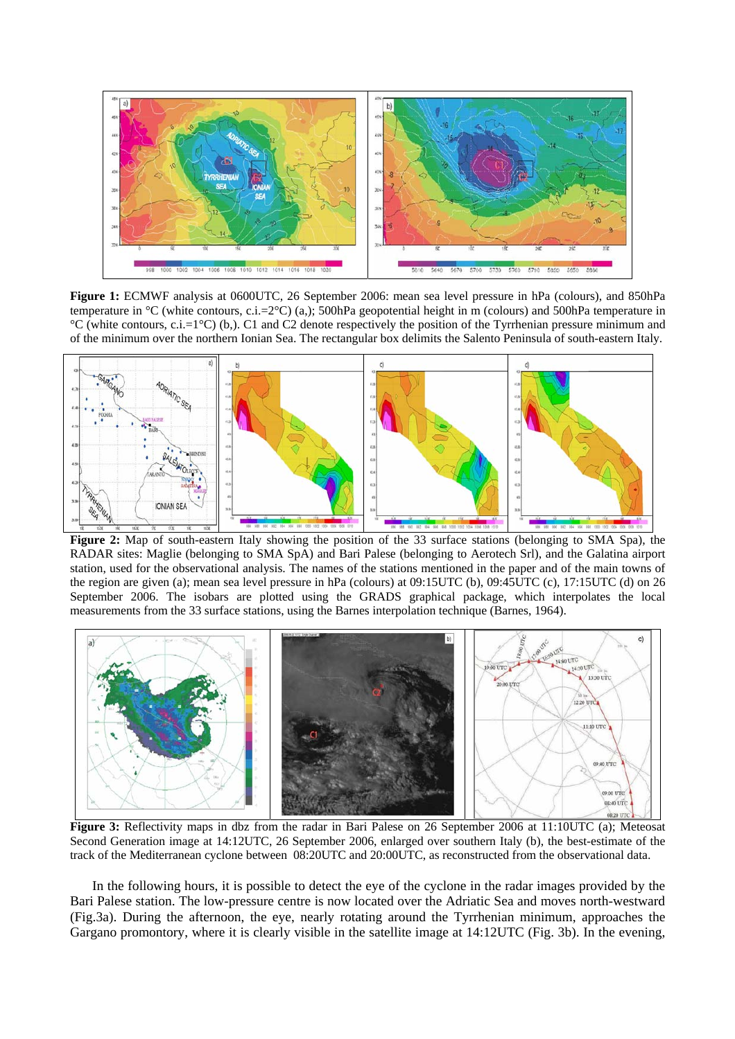

**Figure 1:** ECMWF analysis at 0600UTC, 26 September 2006: mean sea level pressure in hPa (colours), and 850hPa temperature in °C (white contours, c.i.=2°C) (a,); 500hPa geopotential height in m (colours) and 500hPa temperature in  $^{\circ}C$  (white contours, c.i.=1 $^{\circ}C$ ) (b,). C1 and C2 denote respectively the position of the Tyrrhenian pressure minimum and of the minimum over the northern Ionian Sea. The rectangular box delimits the Salento Peninsula of south-eastern Italy.



**Figure 2:** Map of south-eastern Italy showing the position of the 33 surface stations (belonging to SMA Spa), the RADAR sites: Maglie (belonging to SMA SpA) and Bari Palese (belonging to Aerotech Srl), and the Galatina airport station, used for the observational analysis. The names of the stations mentioned in the paper and of the main towns of the region are given (a); mean sea level pressure in hPa (colours) at 09:15UTC (b), 09:45UTC (c), 17:15UTC (d) on 26 September 2006. The isobars are plotted using the GRADS graphical package, which interpolates the local measurements from the 33 surface stations, using the Barnes interpolation technique (Barnes, 1964).



**Figure 3:** Reflectivity maps in dbz from the radar in Bari Palese on 26 September 2006 at 11:10UTC (a); Meteosat Second Generation image at 14:12UTC, 26 September 2006, enlarged over southern Italy (b), the best-estimate of the track of the Mediterranean cyclone between 08:20UTC and 20:00UTC, as reconstructed from the observational data.

In the following hours, it is possible to detect the eye of the cyclone in the radar images provided by the Bari Palese station. The low-pressure centre is now located over the Adriatic Sea and moves north-westward (Fig.3a). During the afternoon, the eye, nearly rotating around the Tyrrhenian minimum, approaches the Gargano promontory, where it is clearly visible in the satellite image at 14:12UTC (Fig. 3b). In the evening,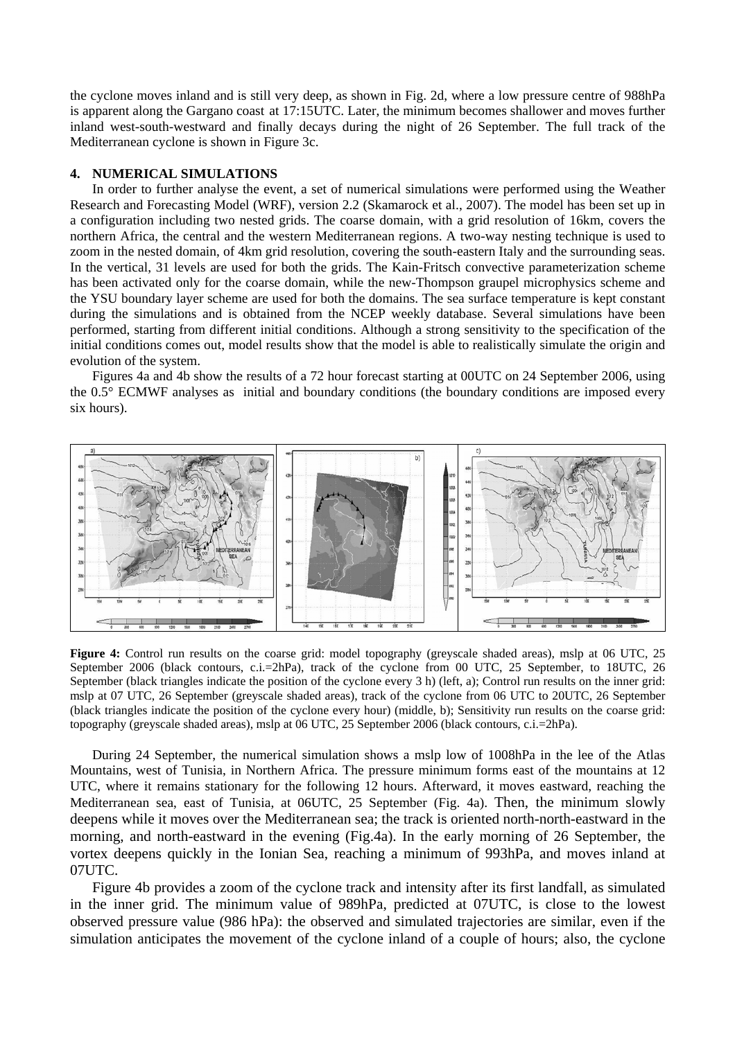the cyclone moves inland and is still very deep, as shown in Fig. 2d, where a low pressure centre of 988hPa is apparent along the Gargano coast at 17:15UTC. Later, the minimum becomes shallower and moves further inland west-south-westward and finally decays during the night of 26 September. The full track of the Mediterranean cyclone is shown in Figure 3c.

# **4. NUMERICAL SIMULATIONS**

In order to further analyse the event, a set of numerical simulations were performed using the Weather Research and Forecasting Model (WRF), version 2.2 (Skamarock et al., 2007). The model has been set up in a configuration including two nested grids. The coarse domain, with a grid resolution of 16km, covers the northern Africa, the central and the western Mediterranean regions. A two-way nesting technique is used to zoom in the nested domain, of 4km grid resolution, covering the south-eastern Italy and the surrounding seas. In the vertical, 31 levels are used for both the grids. The Kain-Fritsch convective parameterization scheme has been activated only for the coarse domain, while the new-Thompson graupel microphysics scheme and the YSU boundary layer scheme are used for both the domains. The sea surface temperature is kept constant during the simulations and is obtained from the NCEP weekly database. Several simulations have been performed, starting from different initial conditions. Although a strong sensitivity to the specification of the initial conditions comes out, model results show that the model is able to realistically simulate the origin and evolution of the system.

Figures 4a and 4b show the results of a 72 hour forecast starting at 00UTC on 24 September 2006, using the 0.5° ECMWF analyses as initial and boundary conditions (the boundary conditions are imposed every six hours).



**Figure 4:** Control run results on the coarse grid: model topography (greyscale shaded areas), mslp at 06 UTC, 25 September 2006 (black contours, c.i.=2hPa), track of the cyclone from 00 UTC, 25 September, to 18UTC, 26 September (black triangles indicate the position of the cyclone every 3 h) (left, a); Control run results on the inner grid: mslp at 07 UTC, 26 September (greyscale shaded areas), track of the cyclone from 06 UTC to 20UTC, 26 September (black triangles indicate the position of the cyclone every hour) (middle, b); Sensitivity run results on the coarse grid: topography (greyscale shaded areas), mslp at 06 UTC, 25 September 2006 (black contours, c.i.=2hPa).

During 24 September, the numerical simulation shows a mslp low of 1008hPa in the lee of the Atlas Mountains, west of Tunisia, in Northern Africa. The pressure minimum forms east of the mountains at 12 UTC, where it remains stationary for the following 12 hours. Afterward, it moves eastward, reaching the Mediterranean sea, east of Tunisia, at 06UTC, 25 September (Fig. 4a). Then, the minimum slowly deepens while it moves over the Mediterranean sea; the track is oriented north-north-eastward in the morning, and north-eastward in the evening (Fig.4a). In the early morning of 26 September, the vortex deepens quickly in the Ionian Sea, reaching a minimum of 993hPa, and moves inland at 07UTC.

Figure 4b provides a zoom of the cyclone track and intensity after its first landfall, as simulated in the inner grid. The minimum value of 989hPa, predicted at 07UTC, is close to the lowest observed pressure value (986 hPa): the observed and simulated trajectories are similar, even if the simulation anticipates the movement of the cyclone inland of a couple of hours; also, the cyclone